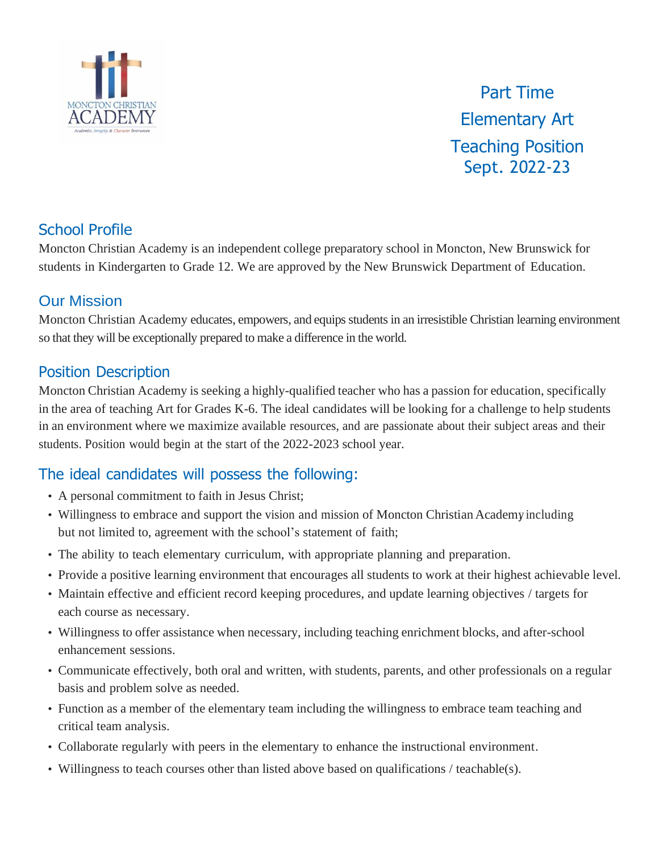

Part Time Elementary Art Teaching Position Sept. 2022-23

# School Profile

Moncton Christian Academy is an independent college preparatory school in Moncton, New Brunswick for students in Kindergarten to Grade 12. We are approved by the New Brunswick Department of Education.

#### Our Mission

Moncton Christian Academy educates, empowers, and equips students in an irresistible Christian learning environment so that they will be exceptionally prepared to make a difference in the world.

### Position Description

Moncton Christian Academy is seeking a highly-qualified teacher who has a passion for education, specifically in the area of teaching Art for Grades K-6. The ideal candidates will be looking for a challenge to help students in an environment where we maximize available resources, and are passionate about their subject areas and their students. Position would begin at the start of the 2022-2023 school year.

# The ideal candidates will possess the following:

- A personal commitment to faith in Jesus Christ;
- Willingness to embrace and support the vision and mission of Moncton Christian Academy including but not limited to, agreement with the school's statement of faith;
- The ability to teach elementary curriculum, with appropriate planning and preparation.
- Provide a positive learning environment that encourages all students to work at their highest achievable level.
- Maintain effective and efficient record keeping procedures, and update learning objectives / targets for each course as necessary.
- Willingness to offer assistance when necessary, including teaching enrichment blocks, and after-school enhancement sessions.
- Communicate effectively, both oral and written, with students, parents, and other professionals on a regular basis and problem solve as needed.
- Function as a member of the elementary team including the willingness to embrace team teaching and critical team analysis.
- Collaborate regularly with peers in the elementary to enhance the instructional environment.
- Willingness to teach courses other than listed above based on qualifications / teachable(s).